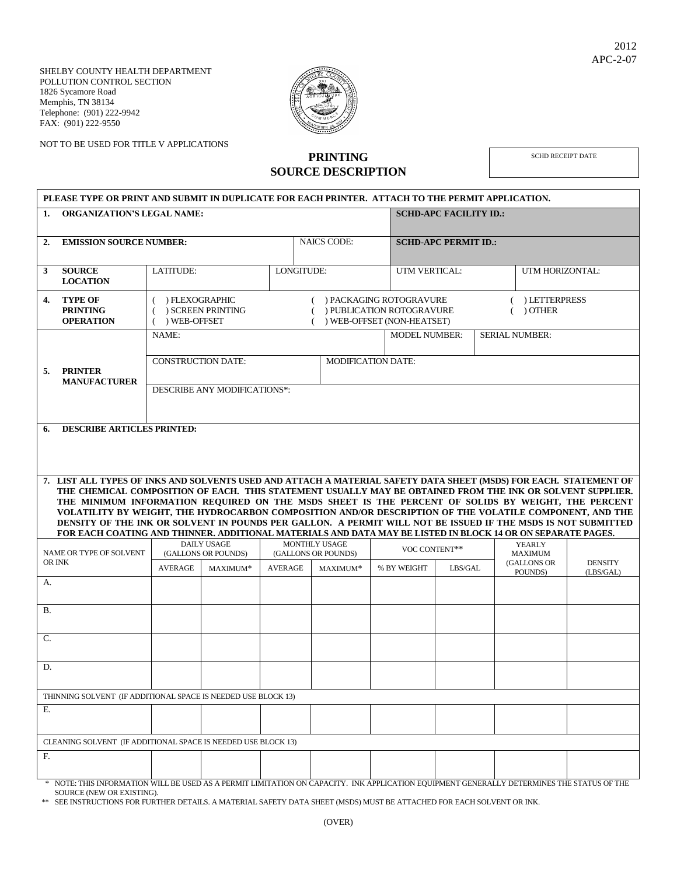SHELBY COUNTY HEALTH DEPARTMENT POLLUTION CONTROL SECTION 1826 Sycamore Road Memphis, TN 38134 Telephone: (901) 222-9942 FAX: (901) 222-9550



NOT TO BE USED FOR TITLE V APPLICATIONS

## **PRINTING SOURCE DESCRIPTION**

SCHD RECEIPT DATE

| PLEASE TYPE OR PRINT AND SUBMIT IN DUPLICATE FOR EACH PRINTER. ATTACH TO THE PERMIT APPLICATION. |                                                                                                                                                                                                                                                                                                                                                                                                                                                                                                                                                                                                                                                                                 |                                                                                                                                                                                |          |                |                                             |          |  |                                               |         |  |                                 |                 |                             |
|--------------------------------------------------------------------------------------------------|---------------------------------------------------------------------------------------------------------------------------------------------------------------------------------------------------------------------------------------------------------------------------------------------------------------------------------------------------------------------------------------------------------------------------------------------------------------------------------------------------------------------------------------------------------------------------------------------------------------------------------------------------------------------------------|--------------------------------------------------------------------------------------------------------------------------------------------------------------------------------|----------|----------------|---------------------------------------------|----------|--|-----------------------------------------------|---------|--|---------------------------------|-----------------|-----------------------------|
| <b>ORGANIZATION'S LEGAL NAME:</b><br>1.                                                          |                                                                                                                                                                                                                                                                                                                                                                                                                                                                                                                                                                                                                                                                                 |                                                                                                                                                                                |          |                |                                             |          |  | <b>SCHD-APC FACILITY ID.:</b>                 |         |  |                                 |                 |                             |
| 2.                                                                                               | <b>EMISSION SOURCE NUMBER:</b>                                                                                                                                                                                                                                                                                                                                                                                                                                                                                                                                                                                                                                                  |                                                                                                                                                                                |          |                | <b>NAICS CODE:</b>                          |          |  | <b>SCHD-APC PERMIT ID.:</b>                   |         |  |                                 |                 |                             |
| 3                                                                                                | <b>SOURCE</b><br><b>LOCATION</b>                                                                                                                                                                                                                                                                                                                                                                                                                                                                                                                                                                                                                                                | LATITUDE:                                                                                                                                                                      |          |                | LONGITUDE:                                  |          |  | UTM VERTICAL:                                 |         |  |                                 | UTM HORIZONTAL: |                             |
| 4.                                                                                               | <b>TYPE OF</b><br><b>PRINTING</b><br><b>OPERATION</b>                                                                                                                                                                                                                                                                                                                                                                                                                                                                                                                                                                                                                           | ) FLEXOGRAPHIC<br>() PACKAGING ROTOGRAVURE<br>( ) LETTERPRESS<br>) SCREEN PRINTING<br>) OTHER<br>) PUBLICATION ROTOGRAVURE<br>€.<br>) WEB-OFFSET<br>) WEB-OFFSET (NON-HEATSET) |          |                |                                             |          |  |                                               |         |  |                                 |                 |                             |
| 5.                                                                                               | <b>PRINTER</b><br><b>MANUFACTURER</b>                                                                                                                                                                                                                                                                                                                                                                                                                                                                                                                                                                                                                                           | NAME:                                                                                                                                                                          |          |                |                                             |          |  | <b>SERIAL NUMBER:</b><br><b>MODEL NUMBER:</b> |         |  |                                 |                 |                             |
|                                                                                                  |                                                                                                                                                                                                                                                                                                                                                                                                                                                                                                                                                                                                                                                                                 | <b>CONSTRUCTION DATE:</b><br><b>MODIFICATION DATE:</b>                                                                                                                         |          |                |                                             |          |  |                                               |         |  |                                 |                 |                             |
|                                                                                                  |                                                                                                                                                                                                                                                                                                                                                                                                                                                                                                                                                                                                                                                                                 | DESCRIBE ANY MODIFICATIONS*:                                                                                                                                                   |          |                |                                             |          |  |                                               |         |  |                                 |                 |                             |
| <b>DESCRIBE ARTICLES PRINTED:</b><br>6.                                                          |                                                                                                                                                                                                                                                                                                                                                                                                                                                                                                                                                                                                                                                                                 |                                                                                                                                                                                |          |                |                                             |          |  |                                               |         |  |                                 |                 |                             |
|                                                                                                  |                                                                                                                                                                                                                                                                                                                                                                                                                                                                                                                                                                                                                                                                                 |                                                                                                                                                                                |          |                |                                             |          |  |                                               |         |  |                                 |                 |                             |
|                                                                                                  | 7. LIST ALL TYPES OF INKS AND SOLVENTS USED AND ATTACH A MATERIAL SAFETY DATA SHEET (MSDS) FOR EACH. STATEMENT OF<br>THE CHEMICAL COMPOSITION OF EACH. THIS STATEMENT USUALLY MAY BE OBTAINED FROM THE INK OR SOLVENT SUPPLIER.<br>THE MINIMUM INFORMATION REQUIRED ON THE MSDS SHEET IS THE PERCENT OF SOLIDS BY WEIGHT, THE PERCENT<br>VOLATILITY BY WEIGHT, THE HYDROCARBON COMPOSITION AND/OR DESCRIPTION OF THE VOLATILE COMPONENT, AND THE<br>DENSITY OF THE INK OR SOLVENT IN POUNDS PER GALLON. A PERMIT WILL NOT BE ISSUED IF THE MSDS IS NOT SUBMITTED<br>FOR EACH COATING AND THINNER. ADDITIONAL MATERIALS AND DATA MAY BE LISTED IN BLOCK 14 OR ON SEPARATE PAGES. |                                                                                                                                                                                |          |                |                                             |          |  |                                               |         |  |                                 |                 |                             |
|                                                                                                  | NAME OR TYPE OF SOLVENT<br>OR INK                                                                                                                                                                                                                                                                                                                                                                                                                                                                                                                                                                                                                                               | <b>DAILY USAGE</b><br>(GALLONS OR POUNDS)                                                                                                                                      |          |                | <b>MONTHLY USAGE</b><br>(GALLONS OR POUNDS) |          |  | VOC CONTENT**                                 |         |  | <b>YEARLY</b><br><b>MAXIMUM</b> |                 |                             |
|                                                                                                  |                                                                                                                                                                                                                                                                                                                                                                                                                                                                                                                                                                                                                                                                                 | <b>AVERAGE</b>                                                                                                                                                                 | MAXIMUM* | <b>AVERAGE</b> |                                             | MAXIMUM* |  | % BY WEIGHT                                   | LBS/GAL |  | (GALLONS OR<br>POUNDS)          |                 | <b>DENSITY</b><br>(LBS/GAL) |
| A.                                                                                               |                                                                                                                                                                                                                                                                                                                                                                                                                                                                                                                                                                                                                                                                                 |                                                                                                                                                                                |          |                |                                             |          |  |                                               |         |  |                                 |                 |                             |
| <b>B.</b>                                                                                        |                                                                                                                                                                                                                                                                                                                                                                                                                                                                                                                                                                                                                                                                                 |                                                                                                                                                                                |          |                |                                             |          |  |                                               |         |  |                                 |                 |                             |
| C.                                                                                               |                                                                                                                                                                                                                                                                                                                                                                                                                                                                                                                                                                                                                                                                                 |                                                                                                                                                                                |          |                |                                             |          |  |                                               |         |  |                                 |                 |                             |
| D.                                                                                               |                                                                                                                                                                                                                                                                                                                                                                                                                                                                                                                                                                                                                                                                                 |                                                                                                                                                                                |          |                |                                             |          |  |                                               |         |  |                                 |                 |                             |
| THINNING SOLVENT (IF ADDITIONAL SPACE IS NEEDED USE BLOCK 13)                                    |                                                                                                                                                                                                                                                                                                                                                                                                                                                                                                                                                                                                                                                                                 |                                                                                                                                                                                |          |                |                                             |          |  |                                               |         |  |                                 |                 |                             |
| Е.                                                                                               |                                                                                                                                                                                                                                                                                                                                                                                                                                                                                                                                                                                                                                                                                 |                                                                                                                                                                                |          |                |                                             |          |  |                                               |         |  |                                 |                 |                             |
| CLEANING SOLVENT (IF ADDITIONAL SPACE IS NEEDED USE BLOCK 13)                                    |                                                                                                                                                                                                                                                                                                                                                                                                                                                                                                                                                                                                                                                                                 |                                                                                                                                                                                |          |                |                                             |          |  |                                               |         |  |                                 |                 |                             |
| F.                                                                                               |                                                                                                                                                                                                                                                                                                                                                                                                                                                                                                                                                                                                                                                                                 |                                                                                                                                                                                |          |                |                                             |          |  |                                               |         |  |                                 |                 |                             |

 \* NOTE: THIS INFORMATION WILL BE USED AS A PERMIT LIMITATION ON CAPACITY. INK APPLICATION EQUIPMENT GENERALLY DETERMINES THE STATUS OF THE SOURCE (NEW OR EXISTING).

\*\* SEE INSTRUCTIONS FOR FURTHER DETAILS. A MATERIAL SAFETY DATA SHEET (MSDS) MUST BE ATTACHED FOR EACH SOLVENT OR INK.